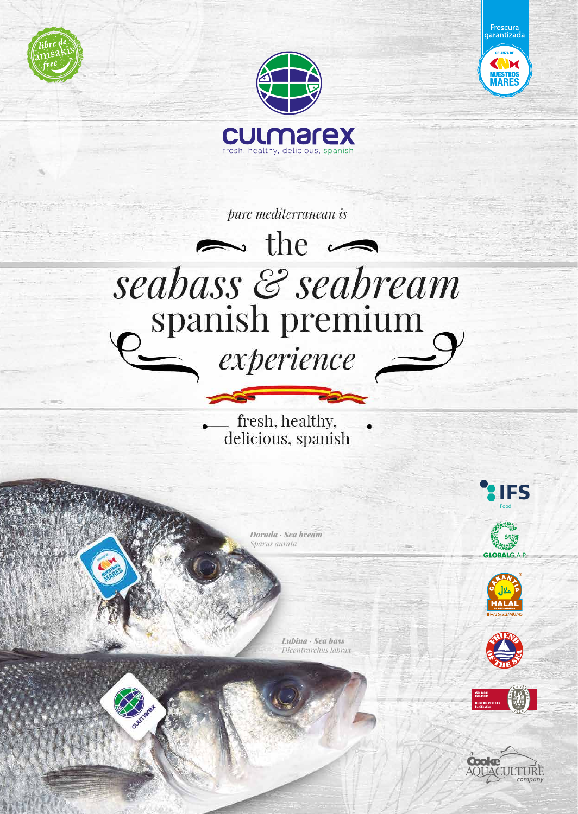





pure mediterranean is

## $\blacktriangleright$  the  $\blacktriangleright$ seabass & seabream spanish premium  $\equiv$  experience

fresh, healthy, \_\_\_<br>delicious, spanish

*Dorada · Sea bream Sparus aurata*

> *Lubina · Sea bass Dicentrarchus labrax*